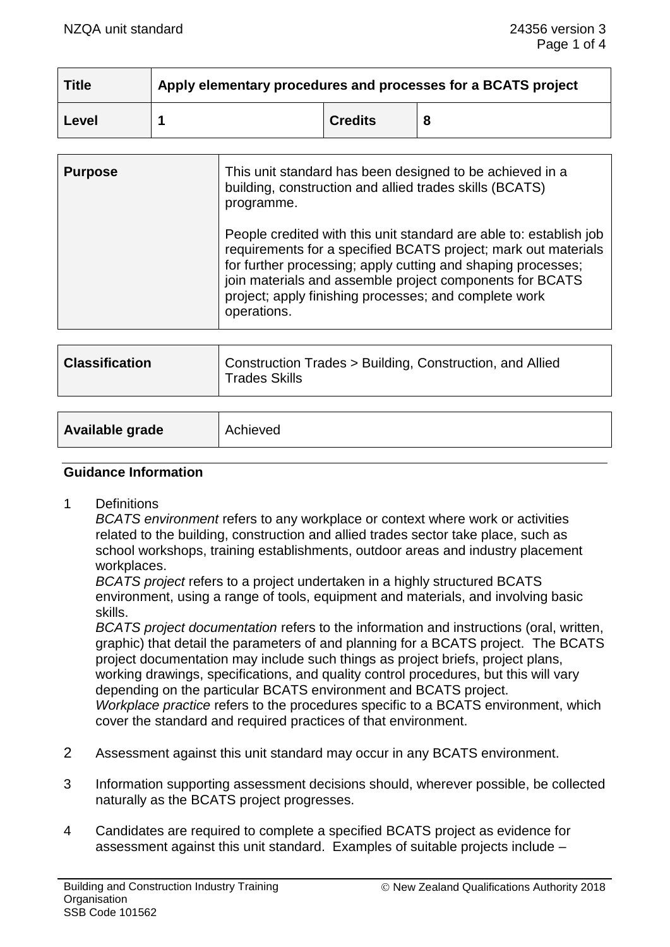| <b>Title</b> | Apply elementary procedures and processes for a BCATS project |                |   |
|--------------|---------------------------------------------------------------|----------------|---|
| Level        |                                                               | <b>Credits</b> | 8 |

| <b>Purpose</b> | This unit standard has been designed to be achieved in a<br>building, construction and allied trades skills (BCATS)<br>programme.                                                                                                                                                                                                        |  |
|----------------|------------------------------------------------------------------------------------------------------------------------------------------------------------------------------------------------------------------------------------------------------------------------------------------------------------------------------------------|--|
|                | People credited with this unit standard are able to: establish job<br>requirements for a specified BCATS project; mark out materials<br>for further processing; apply cutting and shaping processes;<br>join materials and assemble project components for BCATS<br>project; apply finishing processes; and complete work<br>operations. |  |

| <b>Classification</b> | Construction Trades > Building, Construction, and Allied<br><sup>1</sup> Trades Skills |
|-----------------------|----------------------------------------------------------------------------------------|
|-----------------------|----------------------------------------------------------------------------------------|

| Available grade | Achieved |
|-----------------|----------|
|-----------------|----------|

#### **Guidance Information**

1 Definitions

*BCATS environment* refers to any workplace or context where work or activities related to the building, construction and allied trades sector take place, such as school workshops, training establishments, outdoor areas and industry placement workplaces.

*BCATS project* refers to a project undertaken in a highly structured BCATS environment, using a range of tools, equipment and materials, and involving basic skills.

*BCATS project documentation* refers to the information and instructions (oral, written, graphic) that detail the parameters of and planning for a BCATS project. The BCATS project documentation may include such things as project briefs, project plans, working drawings, specifications, and quality control procedures, but this will vary depending on the particular BCATS environment and BCATS project. *Workplace practice* refers to the procedures specific to a BCATS environment, which

cover the standard and required practices of that environment.

- 2 Assessment against this unit standard may occur in any BCATS environment.
- 3 Information supporting assessment decisions should, wherever possible, be collected naturally as the BCATS project progresses.
- 4 Candidates are required to complete a specified BCATS project as evidence for assessment against this unit standard. Examples of suitable projects include –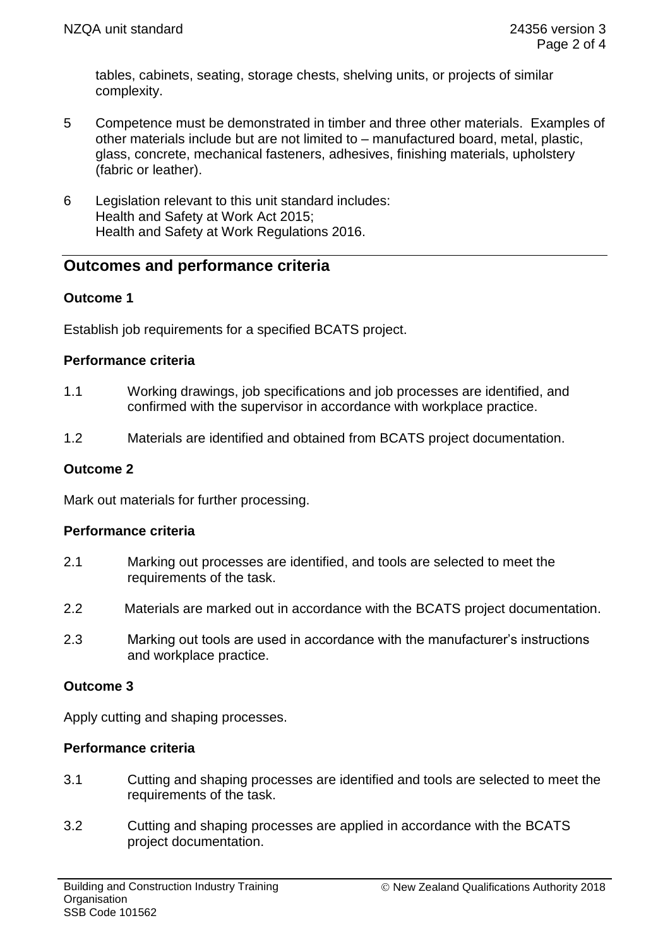tables, cabinets, seating, storage chests, shelving units, or projects of similar complexity.

- 5 Competence must be demonstrated in timber and three other materials. Examples of other materials include but are not limited to – manufactured board, metal, plastic, glass, concrete, mechanical fasteners, adhesives, finishing materials, upholstery (fabric or leather).
- 6 Legislation relevant to this unit standard includes: Health and Safety at Work Act 2015; Health and Safety at Work Regulations 2016.

# **Outcomes and performance criteria**

# **Outcome 1**

Establish job requirements for a specified BCATS project.

# **Performance criteria**

- 1.1 Working drawings, job specifications and job processes are identified, and confirmed with the supervisor in accordance with workplace practice.
- 1.2 Materials are identified and obtained from BCATS project documentation.

#### **Outcome 2**

Mark out materials for further processing.

# **Performance criteria**

- 2.1 Marking out processes are identified, and tools are selected to meet the requirements of the task.
- 2.2 Materials are marked out in accordance with the BCATS project documentation.
- 2.3 Marking out tools are used in accordance with the manufacturer's instructions and workplace practice.

# **Outcome 3**

Apply cutting and shaping processes.

# **Performance criteria**

- 3.1 Cutting and shaping processes are identified and tools are selected to meet the requirements of the task.
- 3.2 Cutting and shaping processes are applied in accordance with the BCATS project documentation.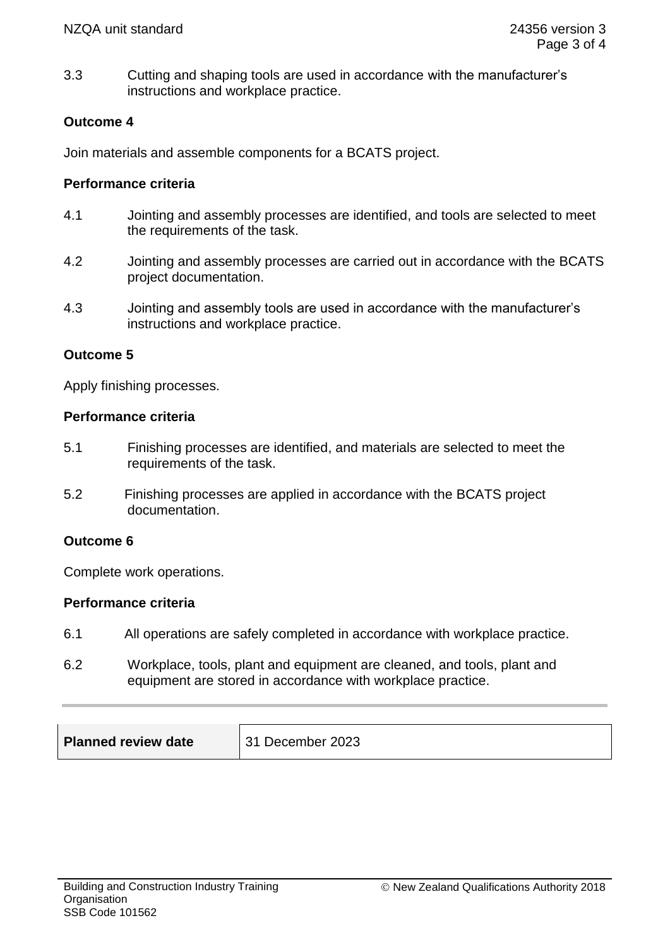3.3 Cutting and shaping tools are used in accordance with the manufacturer's instructions and workplace practice.

# **Outcome 4**

Join materials and assemble components for a BCATS project.

#### **Performance criteria**

- 4.1 Jointing and assembly processes are identified, and tools are selected to meet the requirements of the task.
- 4.2 Jointing and assembly processes are carried out in accordance with the BCATS project documentation.
- 4.3 Jointing and assembly tools are used in accordance with the manufacturer's instructions and workplace practice.

#### **Outcome 5**

Apply finishing processes.

#### **Performance criteria**

- 5.1 Finishing processes are identified, and materials are selected to meet the requirements of the task.
- 5.2 Finishing processes are applied in accordance with the BCATS project documentation.

#### **Outcome 6**

Complete work operations.

#### **Performance criteria**

- 6.1 All operations are safely completed in accordance with workplace practice.
- 6.2 Workplace, tools, plant and equipment are cleaned, and tools, plant and equipment are stored in accordance with workplace practice.

| <b>Planned review date</b> | 31 December 2023 |
|----------------------------|------------------|
|----------------------------|------------------|